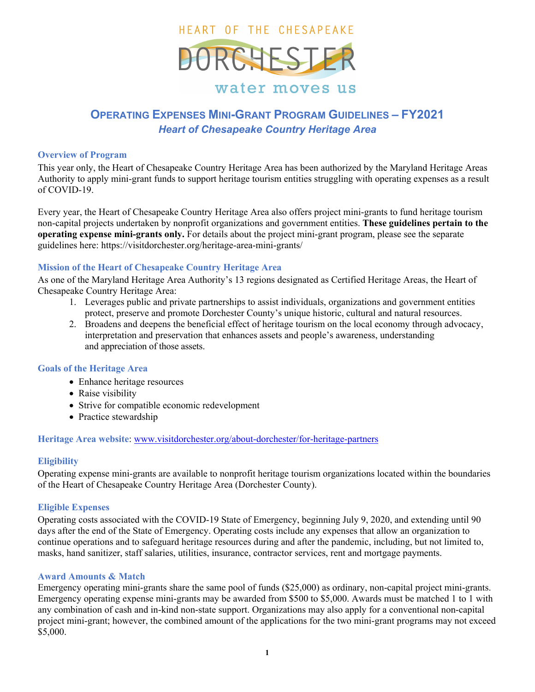

# **OPERATING EXPENSES MINI-GRANT PROGRAM GUIDELINES – FY2021**  *Heart of Chesapeake Country Heritage Area*

#### **Overview of Program**

This year only, the Heart of Chesapeake Country Heritage Area has been authorized by the Maryland Heritage Areas Authority to apply mini-grant funds to support heritage tourism entities struggling with operating expenses as a result of COVID-19.

Every year, the Heart of Chesapeake Country Heritage Area also offers project mini-grants to fund heritage tourism non-capital projects undertaken by nonprofit organizations and government entities. **These guidelines pertain to the operating expense mini-grants only.** For details about the project mini-grant program, please see the separate guidelines here: https://visitdorchester.org/heritage-area-mini-grants/

## **Mission of the Heart of Chesapeake Country Heritage Area**

As one of the Maryland Heritage Area Authority's 13 regions designated as Certified Heritage Areas, the Heart of Chesapeake Country Heritage Area:

- 1. Leverages public and private partnerships to assist individuals, organizations and government entities protect, preserve and promote Dorchester County's unique historic, cultural and natural resources.
- 2. Broadens and deepens the beneficial effect of heritage tourism on the local economy through advocacy, interpretation and preservation that enhances assets and people's awareness, understanding and appreciation of those assets.

## **Goals of the Heritage Area**

- Enhance heritage resources
- Raise visibility
- Strive for compatible economic redevelopment
- Practice stewardship

## **Heritage Area website**: www.visitdorchester.org/about-dorchester/for-heritage-partners

## **Eligibility**

Operating expense mini-grants are available to nonprofit heritage tourism organizations located within the boundaries of the Heart of Chesapeake Country Heritage Area (Dorchester County).

# **Eligible Expenses**

Operating costs associated with the COVID-19 State of Emergency, beginning July 9, 2020, and extending until 90 days after the end of the State of Emergency. Operating costs include any expenses that allow an organization to continue operations and to safeguard heritage resources during and after the pandemic, including, but not limited to, masks, hand sanitizer, staff salaries, utilities, insurance, contractor services, rent and mortgage payments.

## **Award Amounts & Match**

Emergency operating mini-grants share the same pool of funds (\$25,000) as ordinary, non-capital project mini-grants. Emergency operating expense mini-grants may be awarded from \$500 to \$5,000. Awards must be matched 1 to 1 with any combination of cash and in-kind non-state support. Organizations may also apply for a conventional non-capital project mini-grant; however, the combined amount of the applications for the two mini-grant programs may not exceed \$5,000.